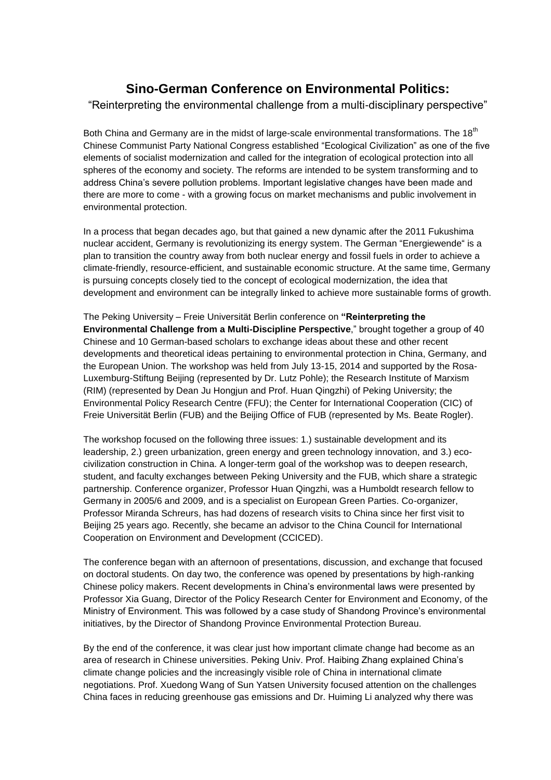## **Sino-German Conference on Environmental Politics:**

"Reinterpreting the environmental challenge from a multi-disciplinary perspective"

Both China and Germany are in the midst of large-scale environmental transformations. The 18<sup>th</sup> Chinese Communist Party National Congress established "Ecological Civilization" as one of the five elements of socialist modernization and called for the integration of ecological protection into all spheres of the economy and society. The reforms are intended to be system transforming and to address China's severe pollution problems. Important legislative changes have been made and there are more to come - with a growing focus on market mechanisms and public involvement in environmental protection.

In a process that began decades ago, but that gained a new dynamic after the 2011 Fukushima nuclear accident, Germany is revolutionizing its energy system. The German "Energiewende" is a plan to transition the country away from both nuclear energy and fossil fuels in order to achieve a climate-friendly, resource-efficient, and sustainable economic structure. At the same time, Germany is pursuing concepts closely tied to the concept of ecological modernization, the idea that development and environment can be integrally linked to achieve more sustainable forms of growth.

The Peking University – Freie Universität Berlin conference on **"Reinterpreting the Environmental Challenge from a Multi-Discipline Perspective**," brought together a group of 40 Chinese and 10 German-based scholars to exchange ideas about these and other recent developments and theoretical ideas pertaining to environmental protection in China, Germany, and the European Union. The workshop was held from July 13-15, 2014 and supported by the Rosa-Luxemburg-Stiftung Beijing (represented by Dr. Lutz Pohle); the Research Institute of Marxism (RIM) (represented by Dean Ju Hongjun and Prof. Huan Qingzhi) of Peking University; the Environmental Policy Research Centre (FFU); the Center for International Cooperation (CIC) of Freie Universität Berlin (FUB) and the Beijing Office of FUB (represented by Ms. Beate Rogler).

The workshop focused on the following three issues: 1.) sustainable development and its leadership, 2.) green urbanization, green energy and green technology innovation, and 3.) ecocivilization construction in China. A longer-term goal of the workshop was to deepen research, student, and faculty exchanges between Peking University and the FUB, which share a strategic partnership. Conference organizer, Professor Huan Qingzhi, was a Humboldt research fellow to Germany in 2005/6 and 2009, and is a specialist on European Green Parties. Co-organizer, Professor Miranda Schreurs, has had dozens of research visits to China since her first visit to Beijing 25 years ago. Recently, she became an advisor to the China Council for International Cooperation on Environment and Development (CCICED).

The conference began with an afternoon of presentations, discussion, and exchange that focused on doctoral students. On day two, the conference was opened by presentations by high-ranking Chinese policy makers. Recent developments in China's environmental laws were presented by Professor Xia Guang, Director of the Policy Research Center for Environment and Economy, of the Ministry of Environment. This was followed by a case study of Shandong Province's environmental initiatives, by the Director of Shandong Province Environmental Protection Bureau.

By the end of the conference, it was clear just how important climate change had become as an area of research in Chinese universities. Peking Univ. Prof. Haibing Zhang explained China's climate change policies and the increasingly visible role of China in international climate negotiations. Prof. Xuedong Wang of Sun Yatsen University focused attention on the challenges China faces in reducing greenhouse gas emissions and Dr. Huiming Li analyzed why there was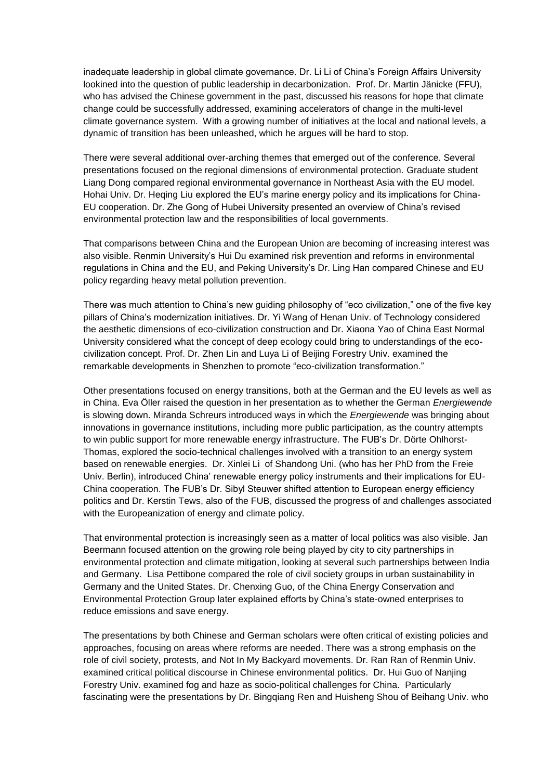inadequate leadership in global climate governance. Dr. Li Li of China's Foreign Affairs University lookined into the question of public leadership in decarbonization. Prof. Dr. Martin Jänicke (FFU), who has advised the Chinese government in the past, discussed his reasons for hope that climate change could be successfully addressed, examining accelerators of change in the multi-level climate governance system. With a growing number of initiatives at the local and national levels, a dynamic of transition has been unleashed, which he argues will be hard to stop.

There were several additional over-arching themes that emerged out of the conference. Several presentations focused on the regional dimensions of environmental protection. Graduate student Liang Dong compared regional environmental governance in Northeast Asia with the EU model. Hohai Univ. Dr. Heqing Liu explored the EU's marine energy policy and its implications for China-EU cooperation. Dr. Zhe Gong of Hubei University presented an overview of China's revised environmental protection law and the responsibilities of local governments.

That comparisons between China and the European Union are becoming of increasing interest was also visible. Renmin University's Hui Du examined risk prevention and reforms in environmental regulations in China and the EU, and Peking University's Dr. Ling Han compared Chinese and EU policy regarding heavy metal pollution prevention.

There was much attention to China's new guiding philosophy of "eco civilization," one of the five key pillars of China's modernization initiatives. Dr. Yi Wang of Henan Univ. of Technology considered the aesthetic dimensions of eco-civilization construction and Dr. Xiaona Yao of China East Normal University considered what the concept of deep ecology could bring to understandings of the ecocivilization concept. Prof. Dr. Zhen Lin and Luya Li of Beijing Forestry Univ. examined the remarkable developments in Shenzhen to promote "eco-civilization transformation."

Other presentations focused on energy transitions, both at the German and the EU levels as well as in China. Eva Öller raised the question in her presentation as to whether the German *Energiewende* is slowing down. Miranda Schreurs introduced ways in which the *Energiewende* was bringing about innovations in governance institutions, including more public participation, as the country attempts to win public support for more renewable energy infrastructure. The FUB's Dr. Dörte Ohlhorst-Thomas, explored the socio-technical challenges involved with a transition to an energy system based on renewable energies. Dr. Xinlei Li of Shandong Uni. (who has her PhD from the Freie Univ. Berlin), introduced China' renewable energy policy instruments and their implications for EU-China cooperation. The FUB's Dr. Sibyl Steuwer shifted attention to European energy efficiency politics and Dr. Kerstin Tews, also of the FUB, discussed the progress of and challenges associated with the Europeanization of energy and climate policy.

That environmental protection is increasingly seen as a matter of local politics was also visible. Jan Beermann focused attention on the growing role being played by city to city partnerships in environmental protection and climate mitigation, looking at several such partnerships between India and Germany. Lisa Pettibone compared the role of civil society groups in urban sustainability in Germany and the United States. Dr. Chenxing Guo, of the China Energy Conservation and Environmental Protection Group later explained efforts by China's state-owned enterprises to reduce emissions and save energy.

The presentations by both Chinese and German scholars were often critical of existing policies and approaches, focusing on areas where reforms are needed. There was a strong emphasis on the role of civil society, protests, and Not In My Backyard movements. Dr. Ran Ran of Renmin Univ. examined critical political discourse in Chinese environmental politics. Dr. Hui Guo of Nanjing Forestry Univ. examined fog and haze as socio-political challenges for China. Particularly fascinating were the presentations by Dr. Bingqiang Ren and Huisheng Shou of Beihang Univ. who